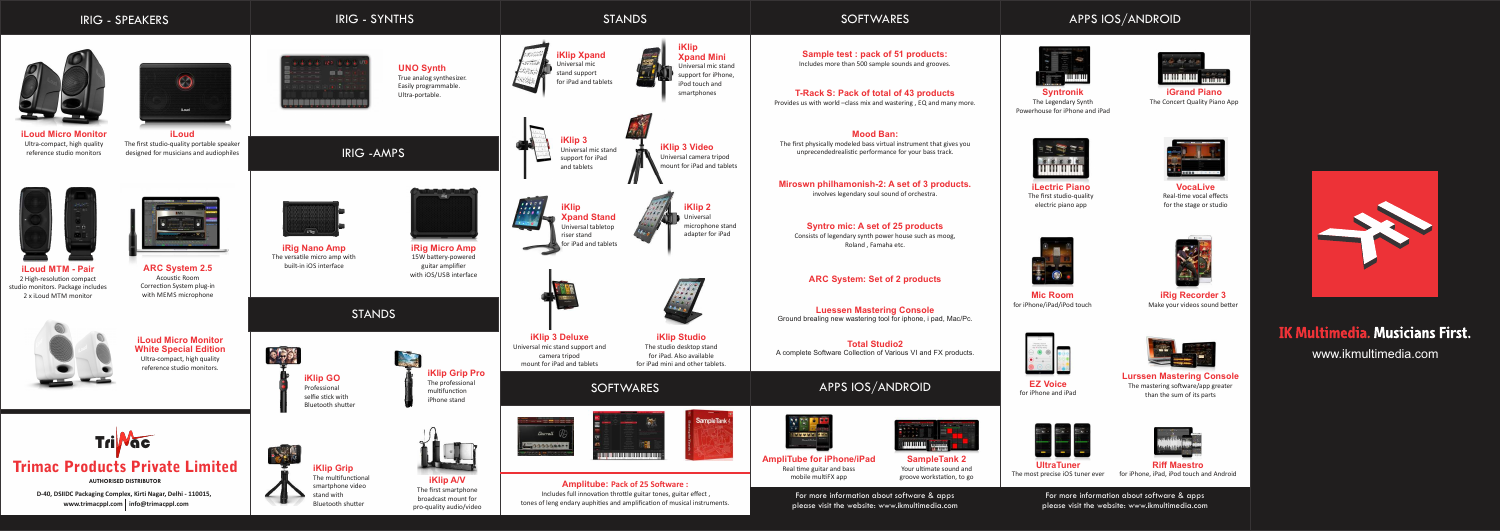www.ikmultimedia.com

# STANDS SOFTWARES APPS IOS/ANDROID

The studio desktop stand for iPad. Also available

**Alice** 

**iKlip Studio** for iPad mini and other tablets.

**SampleTank** 





Real time guitar and bass mobile multiFX app





**iKlip 3 Deluxe** camera tripod

Darrell

822222999

Universal mic stand support and mount for iPad and tablets

**Amplitube: Pack of 25 Software** Includes full innovation throttle guitar tones, guitar effect, tones of leng endary auphities and amplification of musical instruments.

<u> INDIANA DI LIBERTI DI LIBERTI DI LIBERTI DI LIBERTI DI LIBERTI DI LIBERTI DI LIBERTI DI LIBERTI DI LIBERTI DI</u>

**TREE** 



**UNO Synth** True analog synthesizer. Easily programmable. Ultra-portable.



**iKlip Grip** The multifunctional smartphone video stand with Bluetooth shutter



**iRig Nano Amp** The versatile micro amp with built-in iOS interface

**iKlip Xpand Mini** Universal mic stand support for iPhone, iPod touch and smartphones



**iRig Micro Amp** 15W battery-powered guitar amplifier with iOS/USB interface





Acoustic Room Correction System plug-in with MEMS microphone



**iKlip A/V** The first smartphone broadcast mount for pro-quality audio/video

**SampleTank 2** Your ultimate sound and groove workstation, to go

**THURSDAY THE REAL PROPERTY** 



**iKlip 2 B** Universal microphone stand adapter for iPad



**iKlip 3 Video** Universal camera tripod mount for iPad and tablets





**iKlip 3**

Universal mic stand support for iPad and tablets

## IRIG - SPEAKERS



**iLoud Micro Monitor** Ultra-compact, high quality reference studio monitors

The first physically modeled bass virtual instrument that gives you unprecendedrealistic performance for your bass track.

**iLoud MTM - Pair** 2 High-resolution compact studio monitors. Package includes 2 x iLoud MTM monitor

**ARC System 2.5**





**iLoud** The first studio-quality portable speaker designed for musicians and audiophiles

**iKlip Xpand Stand** Universal tabletop riser stand for iPad and tablets

**iRig Recorder 3** Make your videos sound better





**iKlip Xpand** Universal mic stand support for iPad and tablets

www.trimacppl.com info@trimacppl.com **D-40, DSIIDC Packaging Complex, Kirti Nagar, Delhi - 110015,**



The most precise iOS tuner ever



**VocaLive** Real-time vocal effects for the stage or studio



**Riff Maestro** for iPhone, iPad, iPod touch and Android

### **Sample test : pack of 51 products:**

Includes more than 500 sample sounds and grooves.

**T-Rack S: Pack of total of 43 products** Provides us with world –class mix and wastering , EQ and many more.

### **Mood Ban:**

**Miroswn philhamonish-2: A set of 3 products.** involves legendary soul sound of orchestra.

**Syntro mic: A set of 25 products** Consists of legendary synth power house such as moog, Roland , Famaha etc.

### **ARC System: Set of 2 products**

**Luessen Mastering Console** Ground brealing new wastering tool for iphone, i pad, Mac/Pc.

**Total Studio2** A complete Software Collection of Various VI and FX products.

# SOFTWARES APPS IOS/ANDROID



**AmpliTube for iPhone/iPad**

**Syntronik** The Legendary Synth Powerhouse for iPhone and iPad



**iGrand Piano** The Concert Quality Piano App



**EZ Voice** for iPhone and iPad **Lurssen Mastering Console** The mastering software  $\sqrt{2}$ app greater than the sum of its parts





**IK Multimedia. Musicians First.** 

For more information about software & apps please visit the website: www.ikmultimedia.com

**iLectric Piano** The first studio-quality electric piano app



**Mic Room** for iPhone/iPad/iPod touch



### IRIG - SYNTHS

**AUTHORISED DISTRIBUTOR** Trimac Products Private Limited

 $Tri$   $Nac$ 

For more information about software & apps please visit the website: www.ikmultimedia.com



IRIG -AMPS

**STANDS**